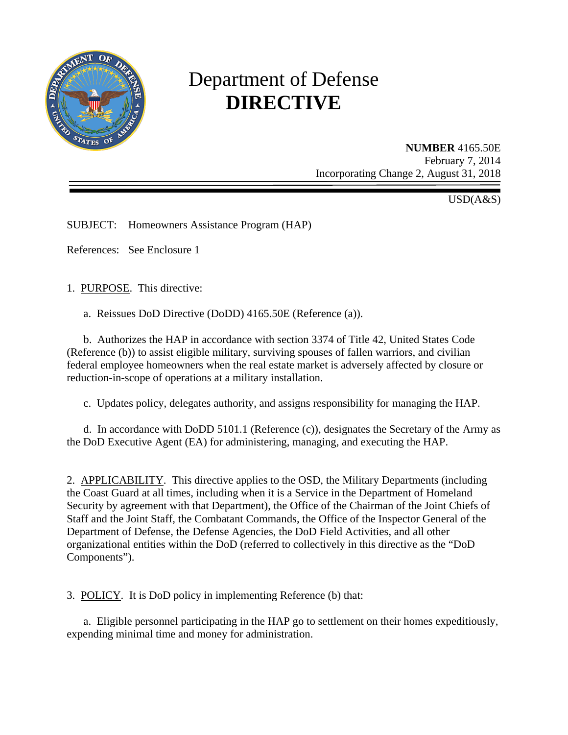

# Department of Defense **DIRECTIVE**

**NUMBER** 4165.50E February 7, 2014 Incorporating Change 2, August 31, 2018

USD(A&S)

SUBJECT: Homeowners Assistance Program (HAP)

References: See Enclosure 1

1. PURPOSE. This directive:

a. Reissues DoD Directive (DoDD) 4165.50E (Reference (a)).

b. Authorizes the HAP in accordance with section 3374 of Title 42, United States Code (Reference (b)) to assist eligible military, surviving spouses of fallen warriors, and civilian federal employee homeowners when the real estate market is adversely affected by closure or reduction-in-scope of operations at a military installation.

c. Updates policy, delegates authority, and assigns responsibility for managing the HAP.

d. In accordance with DoDD 5101.1 (Reference (c)), designates the Secretary of the Army as the DoD Executive Agent (EA) for administering, managing, and executing the HAP.

2. APPLICABILITY. This directive applies to the OSD, the Military Departments (including the Coast Guard at all times, including when it is a Service in the Department of Homeland Security by agreement with that Department), the Office of the Chairman of the Joint Chiefs of Staff and the Joint Staff, the Combatant Commands, the Office of the Inspector General of the Department of Defense, the Defense Agencies, the DoD Field Activities, and all other organizational entities within the DoD (referred to collectively in this directive as the "DoD Components").

3. POLICY. It is DoD policy in implementing Reference (b) that:

a. Eligible personnel participating in the HAP go to settlement on their homes expeditiously, expending minimal time and money for administration.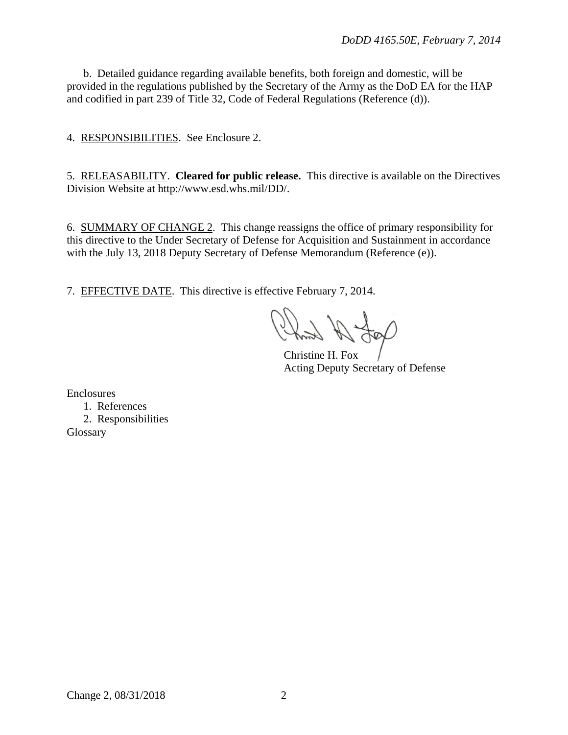b. Detailed guidance regarding available benefits, both foreign and domestic, will be provided in the regulations published by the Secretary of the Army as the DoD EA for the HAP and codified in part 239 of Title 32, Code of Federal Regulations (Reference (d)).

4. RESPONSIBILITIES. See Enclosure 2.

5. RELEASABILITY. **Cleared for public release.** This directive is available on the Directives Division Website at http://www.esd.whs.mil/DD/.

6. SUMMARY OF CHANGE 2. This change reassigns the office of primary responsibility for this directive to the Under Secretary of Defense for Acquisition and Sustainment in accordance with the July 13, 2018 Deputy Secretary of Defense Memorandum (Reference (e)).

7. EFFECTIVE DATE. This directive is effective February 7, 2014.

Christine H. Fox Acting Deputy Secretary of Defense

Enclosures

- 1. References
- 2. Responsibilities **Glossary**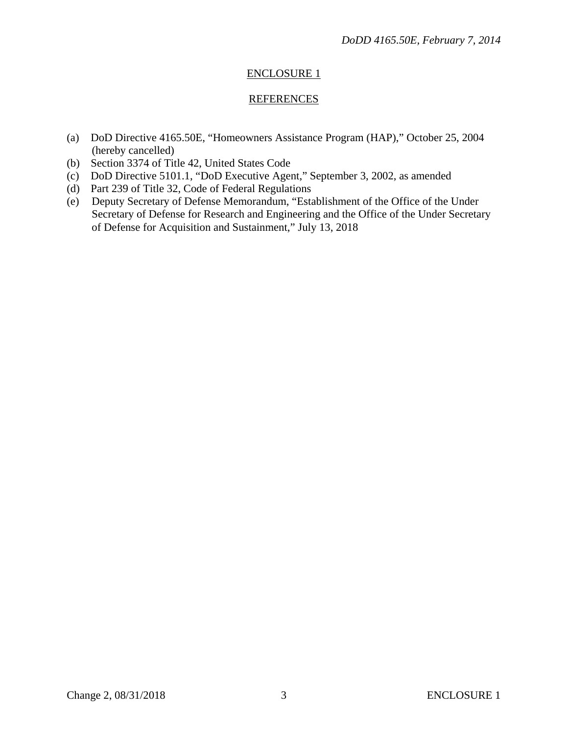## ENCLOSURE 1

### **REFERENCES**

- (a) DoD Directive 4165.50E, "Homeowners Assistance Program (HAP)," October 25, 2004 (hereby cancelled)
- (b) Section 3374 of Title 42, United States Code
- (c) DoD Directive 5101.1, "DoD Executive Agent," September 3, 2002, as amended
- (d) Part 239 of Title 32, Code of Federal Regulations
- (e) Deputy Secretary of Defense Memorandum, "Establishment of the Office of the Under Secretary of Defense for Research and Engineering and the Office of the Under Secretary of Defense for Acquisition and Sustainment," July 13, 2018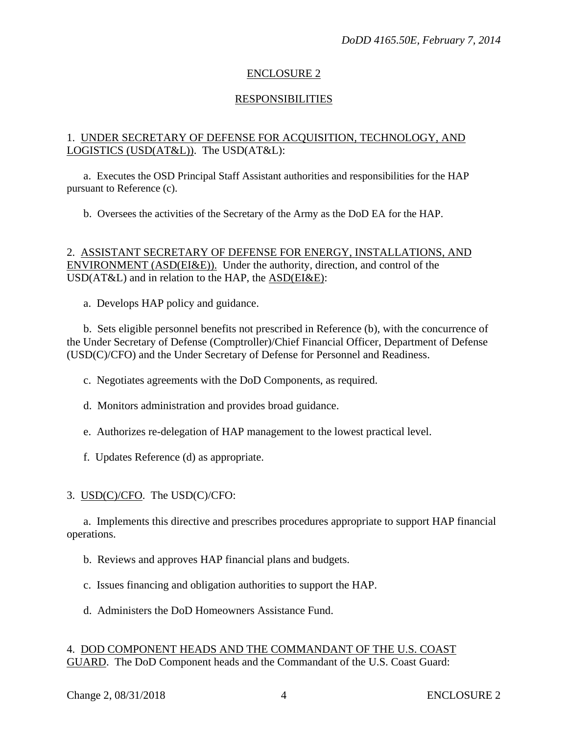### ENCLOSURE 2

## RESPONSIBILITIES

### 1. UNDER SECRETARY OF DEFENSE FOR ACQUISITION, TECHNOLOGY, AND LOGISTICS (USD(AT&L)). The USD(AT&L):

a. Executes the OSD Principal Staff Assistant authorities and responsibilities for the HAP pursuant to Reference (c).

b. Oversees the activities of the Secretary of the Army as the DoD EA for the HAP.

### 2. ASSISTANT SECRETARY OF DEFENSE FOR ENERGY, INSTALLATIONS, AND ENVIRONMENT (ASD(EI&E)). Under the authority, direction, and control of the USD(AT&L) and in relation to the HAP, the ASD(EI&E):

a. Develops HAP policy and guidance.

b. Sets eligible personnel benefits not prescribed in Reference (b), with the concurrence of the Under Secretary of Defense (Comptroller)/Chief Financial Officer, Department of Defense (USD(C)/CFO) and the Under Secretary of Defense for Personnel and Readiness.

c. Negotiates agreements with the DoD Components, as required.

d. Monitors administration and provides broad guidance.

e. Authorizes re-delegation of HAP management to the lowest practical level.

f. Updates Reference (d) as appropriate.

### 3. USD(C)/CFO. The USD(C)/CFO:

a. Implements this directive and prescribes procedures appropriate to support HAP financial operations.

b. Reviews and approves HAP financial plans and budgets.

c. Issues financing and obligation authorities to support the HAP.

d. Administers the DoD Homeowners Assistance Fund.

#### 4. DOD COMPONENT HEADS AND THE COMMANDANT OF THE U.S. COAST GUARD. The DoD Component heads and the Commandant of the U.S. Coast Guard: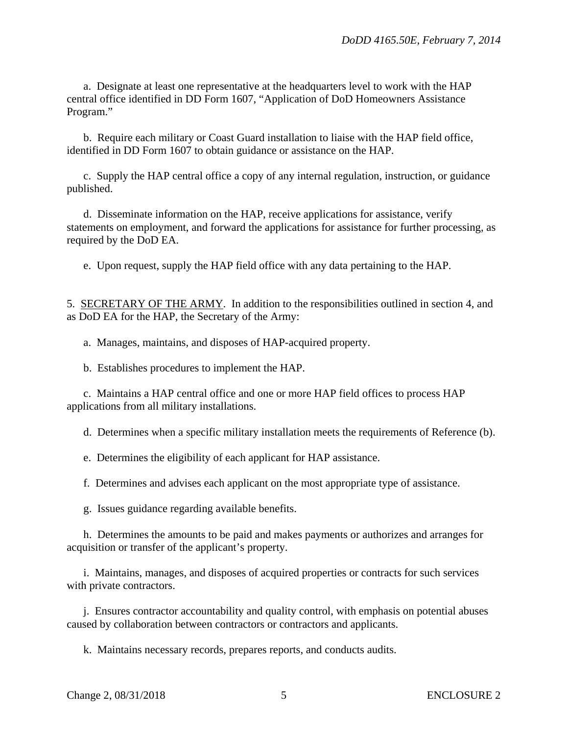a. Designate at least one representative at the headquarters level to work with the HAP central office identified in DD Form 1607, "Application of DoD Homeowners Assistance Program."

b. Require each military or Coast Guard installation to liaise with the HAP field office, identified in DD Form 1607 to obtain guidance or assistance on the HAP.

c. Supply the HAP central office a copy of any internal regulation, instruction, or guidance published.

d. Disseminate information on the HAP, receive applications for assistance, verify statements on employment, and forward the applications for assistance for further processing, as required by the DoD EA.

e. Upon request, supply the HAP field office with any data pertaining to the HAP.

5. SECRETARY OF THE ARMY. In addition to the responsibilities outlined in section 4, and as DoD EA for the HAP, the Secretary of the Army:

a. Manages, maintains, and disposes of HAP-acquired property.

b. Establishes procedures to implement the HAP.

c. Maintains a HAP central office and one or more HAP field offices to process HAP applications from all military installations.

d. Determines when a specific military installation meets the requirements of Reference (b).

e. Determines the eligibility of each applicant for HAP assistance.

f. Determines and advises each applicant on the most appropriate type of assistance.

g. Issues guidance regarding available benefits.

h. Determines the amounts to be paid and makes payments or authorizes and arranges for acquisition or transfer of the applicant's property.

i. Maintains, manages, and disposes of acquired properties or contracts for such services with private contractors.

j. Ensures contractor accountability and quality control, with emphasis on potential abuses caused by collaboration between contractors or contractors and applicants.

k. Maintains necessary records, prepares reports, and conducts audits.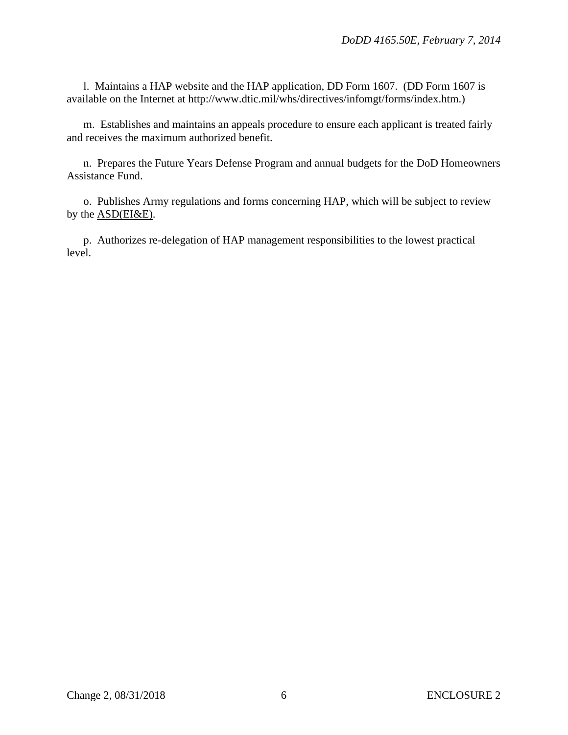l. Maintains a HAP website and the HAP application, DD Form 1607. (DD Form 1607 is available on the Internet at http://www.dtic.mil/whs/directives/infomgt/forms/index.htm.)

m. Establishes and maintains an appeals procedure to ensure each applicant is treated fairly and receives the maximum authorized benefit.

n. Prepares the Future Years Defense Program and annual budgets for the DoD Homeowners Assistance Fund.

o. Publishes Army regulations and forms concerning HAP, which will be subject to review by the ASD(EI&E).

p. Authorizes re-delegation of HAP management responsibilities to the lowest practical level.